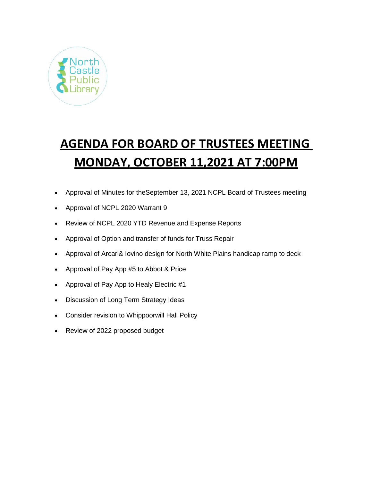

# **AGENDA FOR BOARD OF TRUSTEES MEETING MONDAY, OCTOBER 11,2021 AT 7:00PM**

- Approval of Minutes for theSeptember 13, 2021 NCPL Board of Trustees meeting
- Approval of NCPL 2020 Warrant 9
- Review of NCPL 2020 YTD Revenue and Expense Reports
- Approval of Option and transfer of funds for Truss Repair
- Approval of Arcari& Iovino design for North White Plains handicap ramp to deck
- Approval of Pay App #5 to Abbot & Price
- Approval of Pay App to Healy Electric #1
- Discussion of Long Term Strategy Ideas
- Consider revision to Whippoorwill Hall Policy
- Review of 2022 proposed budget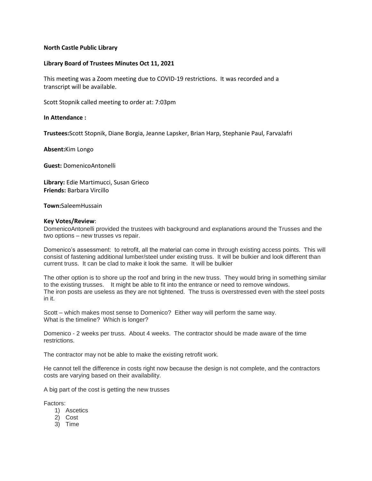## **North Castle Public Library**

## **Library Board of Trustees Minutes Oct 11, 2021**

This meeting was a Zoom meeting due to COVID-19 restrictions. It was recorded and a transcript will be available.

Scott Stopnik called meeting to order at: 7:03pm

## **In Attendance :**

**Trustees:**Scott Stopnik, Diane Borgia, Jeanne Lapsker, Brian Harp, Stephanie Paul, FarvaJafri

**Absent:**Kim Longo

**Guest:** DomenicoAntonelli

**Library:** Edie Martimucci, Susan Grieco **Friends:** Barbara Vircillo

### **Town:**SaleemHussain

### **Key Votes/Review**:

DomenicoAntonelli provided the trustees with background and explanations around the Trusses and the two options – new trusses vs repair.

Domenico's assessment: to retrofit, all the material can come in through existing access points. This will consist of fastening additional lumber/steel under existing truss. It will be bulkier and look different than current truss. It can be clad to make it look the same. It will be bulkier

The other option is to shore up the roof and bring in the new truss. They would bring in something similar to the existing trusses. It might be able to fit into the entrance or need to remove windows. The iron posts are useless as they are not tightened. The truss is overstressed even with the steel posts in it.

Scott – which makes most sense to Domenico? Either way will perform the same way. What is the timeline? Which is longer?

Domenico - 2 weeks per truss. About 4 weeks. The contractor should be made aware of the time restrictions.

The contractor may not be able to make the existing retrofit work.

He cannot tell the difference in costs right now because the design is not complete, and the contractors costs are varying based on their availability.

A big part of the cost is getting the new trusses

Factors:

- 1) Ascetics
- 2) Cost
- 3) Time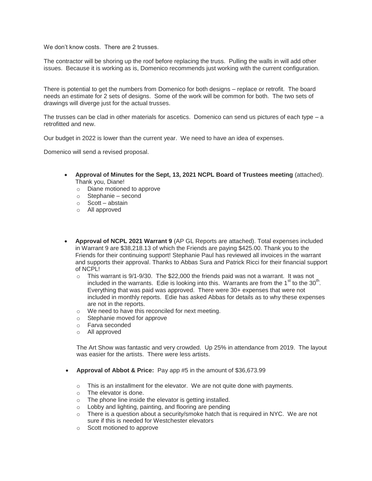We don't know costs. There are 2 trusses.

The contractor will be shoring up the roof before replacing the truss. Pulling the walls in will add other issues. Because it is working as is, Domenico recommends just working with the current configuration.

There is potential to get the numbers from Domenico for both designs – replace or retrofit. The board needs an estimate for 2 sets of designs. Some of the work will be common for both. The two sets of drawings will diverge just for the actual trusses.

The trusses can be clad in other materials for ascetics. Domenico can send us pictures of each type – a retrofitted and new.

Our budget in 2022 is lower than the current year. We need to have an idea of expenses.

Domenico will send a revised proposal.

- **Approval of Minutes for the Sept, 13, 2021 NCPL Board of Trustees meeting** (attached). Thank you, Diane!
	- o Diane motioned to approve
	- o Stephanie second
	- o Scott abstain
	- o All approved
- **Approval of NCPL 2021 Warrant 9** (AP GL Reports are attached). Total expenses included in Warrant 9 are \$38,218.13 of which the Friends are paying \$425.00. Thank you to the Friends for their continuing support! Stephanie Paul has reviewed all invoices in the warrant and supports their approval. Thanks to Abbas Sura and Patrick Ricci for their financial support of NCPL!
	- $\circ$  This warrant is 9/1-9/30. The \$22,000 the friends paid was not a warrant. It was not included in the warrants. Edie is looking into this. Warrants are from the 1<sup>st</sup> to the 30<sup>th</sup>. Everything that was paid was approved. There were 30+ expenses that were not included in monthly reports. Edie has asked Abbas for details as to why these expenses are not in the reports.
	- o We need to have this reconciled for next meeting.
	- o Stephanie moved for approve
	- o Farva seconded
	- o All approved

The Art Show was fantastic and very crowded. Up 25% in attendance from 2019. The layout was easier for the artists. There were less artists.

- **Approval of Abbot & Price:** Pay app #5 in the amount of \$36,673.99
	- $\circ$  This is an installment for the elevator. We are not quite done with payments.
	- o The elevator is done.
	- o The phone line inside the elevator is getting installed.
	- o Lobby and lighting, painting, and flooring are pending
	- $\circ$  There is a question about a security/smoke hatch that is required in NYC. We are not sure if this is needed for Westchester elevators
	- o Scott motioned to approve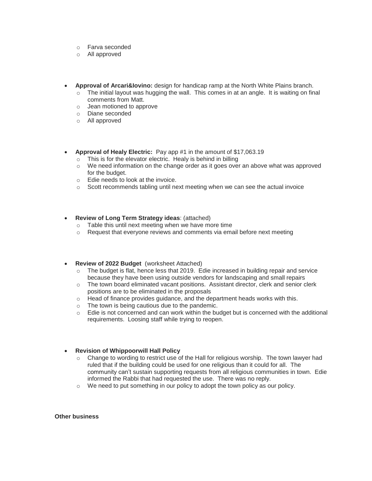- o Farva seconded
- o All approved
- **Approval of Arcari&Iovino:** design for handicap ramp at the North White Plains branch.
	- $\circ$  The initial layout was hugging the wall. This comes in at an angle. It is waiting on final comments from Matt.
	- o Jean motioned to approve
	- o Diane seconded
	- o All approved
- **Approval of Healy Electric:** Pay app #1 in the amount of \$17,063.19
	- o This is for the elevator electric. Healy is behind in billing
	- $\circ$  We need information on the change order as it goes over an above what was approved for the budget.
	- o Edie needs to look at the invoice.
	- $\circ$  Scott recommends tabling until next meeting when we can see the actual invoice

### **Review of Long Term Strategy ideas**: (attached)

- o Table this until next meeting when we have more time
- $\circ$  Request that everyone reviews and comments via email before next meeting
- **Review of 2022 Budget** (worksheet Attached)
	- $\circ$  The budget is flat, hence less that 2019. Edie increased in building repair and service because they have been using outside vendors for landscaping and small repairs
	- o The town board eliminated vacant positions. Assistant director, clerk and senior clerk positions are to be eliminated in the proposals
	- $\circ$  Head of finance provides guidance, and the department heads works with this.
	- o The town is being cautious due to the pandemic.
	- o Edie is not concerned and can work within the budget but is concerned with the additional requirements. Loosing staff while trying to reopen.

## **Revision of Whippoorwill Hall Policy**

- o Change to wording to restrict use of the Hall for religious worship. The town lawyer had ruled that if the building could be used for one religious than it could for all. The community can't sustain supporting requests from all religious communities in town. Edie informed the Rabbi that had requested the use. There was no reply.
- $\circ$  We need to put something in our policy to adopt the town policy as our policy.

#### **Other business**